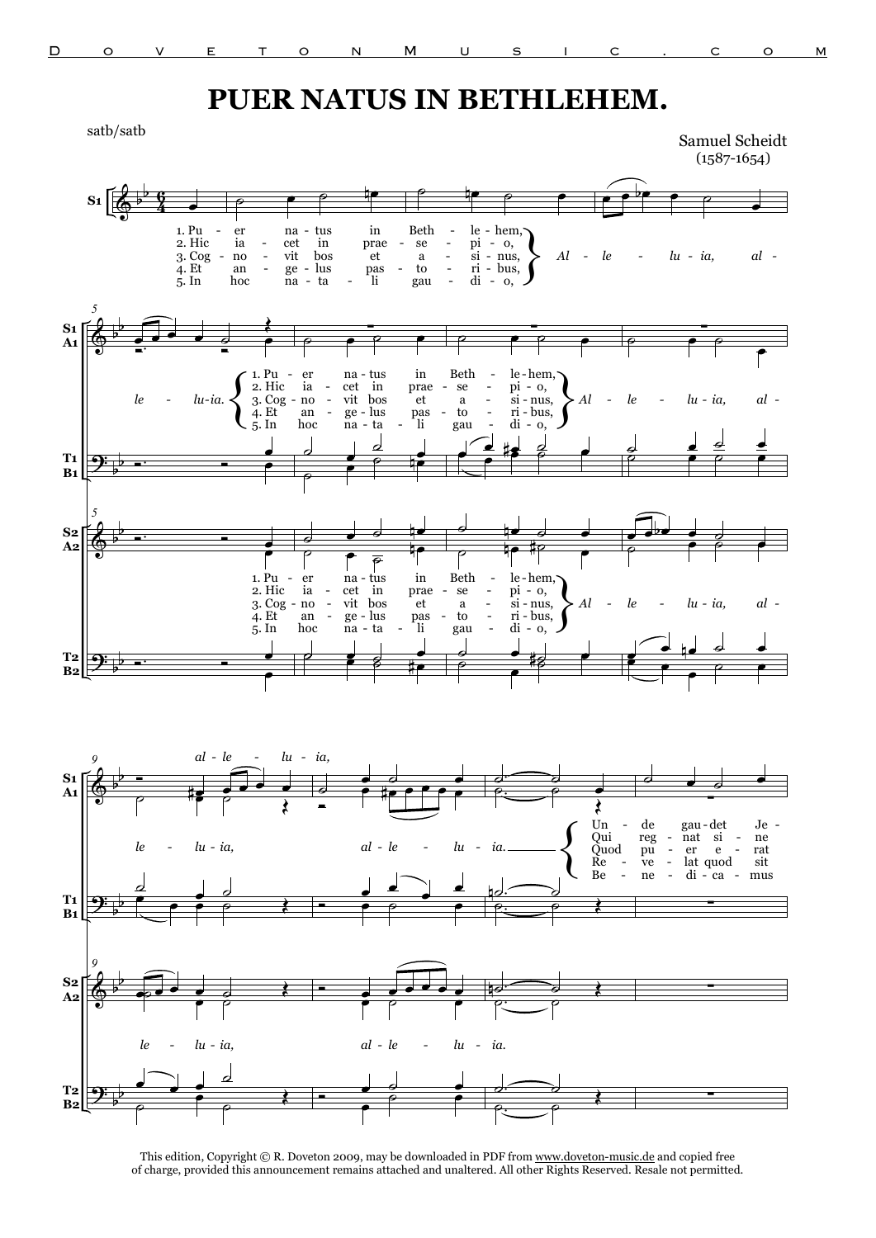**T2 B2**

## **PUER NATUS IN BETHLEHEM.**

 $S_1$   $\begin{array}{|c|c|c|c|c|} \hline \text{\Leftrightarrow} & \text{\Leftrightarrow} & \text{\Leftrightarrow} & \text{\Leftrightarrow} & \text{\Leftrightarrow} & \text{\Leftrightarrow} & \text{\Leftrightarrow} & \text{\Leftrightarrow} & \text{\Leftrightarrow} & \text{\Leftrightarrow} & \text{\Leftrightarrow} & \text{\Leftrightarrow} & \text{\Leftrightarrow} & \text{\Leftrightarrow} & \text{\Leftrightarrow} & \text{\Leftrightarrow} & \text{\Leftrightarrow} & \text{\Leftrightarrow} & \text{\Leftrightarrow} & \text{\Leftrightarrow} & \text{\Leftrightarrow} & \text{\Lef$ b 4 6 1. Pu 2. Hic 3. Cog 4. Et 5. In  $\circ$   $\circ$   $\circ$   $\circ$ er ia no an hoc na cet vit ge na tus in bos lus - - ta in prae et pas li  $\circ$   $\qquad \circ$   $\circ$ Beth se a to gau le pi si ri di hem, o, nus, bus, em,  $\begin{cases} 0, \\ 0, \\ \text{uus}, \\ 0, \end{cases}$  *Al*  $e^{\theta}$ œ *le* - *lu* - *ia*, *al* -- - - - - - - - - - - - - - -  $\pmb{\phi}$ <u>ș:</u>  $\pmb{\phi}$ <u>.</u> b b b b b b b b **S1 A1 T1 B1 S2 A2 T2 B2** *5*  $\overrightarrow{e}$   $\overrightarrow{e}$   $\overrightarrow{e}$ Œ *le lu ia.*{ <u>Ó Ó Ó Ó G</u> œ 1. Pu 2. Hic 3. Cog 4. Et 5. In Ó. œ œ *5* Ó. Ó œ œ 1. Pu 2. Hic 3. Cog 4. Et 5. In Ó. Ó œ œ ∑  $\circ$   $\circ$   $\circ$   $\circ$   $\circ$ er ia no an hoc na - tus cet vit ge na in bos lus - - ta in prae et pas li <u>。</u> ˙ œ  $\overline{e}$ œ  $\frac{a}{\rho}$  if ˙ œ ˙ œn  $\overline{\qquad \qquad }$ ie<br>∲P er ia - no an hoc na tus - - - cet vit - ge-lus pas - to - ri-l na in bos ta in prae et pas li  $\overrightarrow{e}$ œ <mark>≉ ⊘ ⊜</mark> ∑ ˙ œ ˙ œ Beth se a to gau le-hem, pi si ri bus, di o, - - nus, em,  $\begin{bmatrix} 0, \\ 0, \\ \text{uus}, \\ 0, \end{bmatrix}$  *Al* œ  $\frac{d}{dt}$ œ <u>≉ 2</u> <u>d to d</u> **<u>e</u>** <del>te #e</del> Beth se a to - ta - li gau - di-0 le hem, - cet in prae - se - pi - o, si nus, ri bus, di em,  $\begin{bmatrix} 0, \\ 0, \\ \text{uus}, \\ 0, \end{bmatrix}$  *Al*  $\frac{1}{2}$   $\frac{1}{2}$   $\frac{1}{2}$   $\frac{1}{2}$  $\frac{\sigma}{\rho}$ œ ˙ ∑  $\rho$   $\rho$   $\rho$ œ *le* - *lu* - *ia*, al - $\frac{1}{2}$ ˙ œ ˙ œ  $\overrightarrow{e}$  $\begin{array}{c|cccc}\n\bullet & \bullet & \bullet & \bullet & \bullet \\
\hline\n\circ & & & & \bullet & \circ \\
\end{array}$  $\overset{\bullet}{\bullet} \overset{\circ}{\circ}$ *le lu ia, al* œ <u>d pd d o</u> م<br>م œ  $\rho$   $\rho$  $-$  no  $-$  vit bos et a  $-$  si $-$  nus,  $\sum A l$   $-$  le  $-$  lu $-$  ia, al  $$  $lu$ -*ia*. - - - - - - - - - - -  $-$  0,  $\pmb{\phi}$ <u>ș.</u>  $\pmb{\phi}$ b b b b b b **S1 A1 T1 B1 S2 A2** *9* i<br>İ  $\frac{1}{2}$  e  $\frac{1}{2}$  e  $\frac{1}{2}$  e  $\frac{1}{2}$  $\overline{\rho}$   $\overline{\psi}$   $\overline{\rho}$ Œ *le lu ia, - al le lu ia, - - -*  $\overline{\phantom{a}}$  $\overline{\phantom{a}}$ Œ œ **ص د م** *9*  $\overrightarrow{e}$  $\overline{\mathcal{O}}$   $\overline{\mathcal{O}}$   $\overline{\mathcal{O}}$   $\overline{\mathcal{O}}$   $\overline{\mathcal{O}}$  $\overset{\bullet}{\bullet}\overset{\circ}{\circ}$ *le lu ia, - - - - -*  $\overline{\bullet}$ <u>● ●</u> Í. <u>● ●</u><br>● ‡● ● ● ● ● *al le lu - - -* Ó œ œ œ œ  $e$   $e$   $e$ <del>e e e e e e</del> <u>е с с</u> *al le lu*  $\overrightarrow{a}$ œ  $\left\{ \right.$ Un Qui Quod Re Be ˙. ˙ Œ *ia.*  $\overline{\phantom{aa}}$  .  $\overline{\phantom{aa}}$  $\overline{\mathcal{P}}$   $\overline{\mathcal{P}}$ <u>ie</u>  $\overline{\phantom{a}}$ ت.<br>م بران<br>م بران *ia.* ˙ œ ˙ œ de reg pu ve ne gau - det nat er lat quod di si e  $\frac{1}{c}$ Je ne rat sit mus ∑ ∑ ∑ - - - - - - - - - - - - Samuel Scheidt (1587-1654) satb/satb



This edition, Copyright © R. Doveton 2009, may be downloaded in PDF from www.doveton-music.de and copied free of charge, provided this announcement remains attached and unaltered. All other Rights Reserved. Resale not permitted.